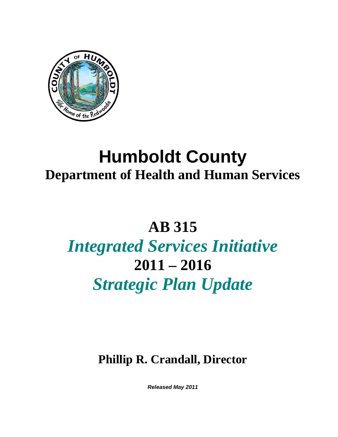

# **Humboldt County Department of Health and Human Services**

# **AB 315**

# *Integrated Services Initiative*  **2011 – 2016**  *Strategic Plan Update*

**Phillip R. Crandall, Director** 

*Released May 2011*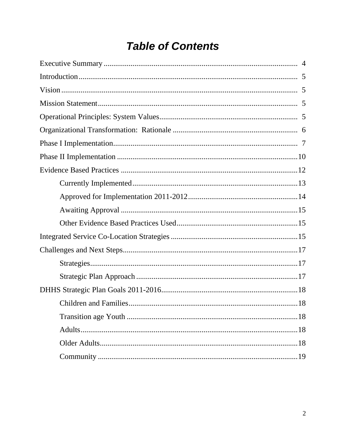# **Table of Contents**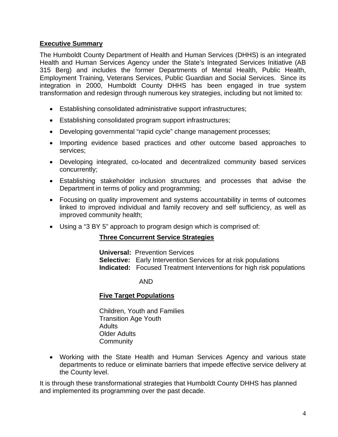# **Executive Summary**

The Humboldt County Department of Health and Human Services (DHHS) is an integrated Health and Human Services Agency under the State's Integrated Services Initiative (AB 315 Berg) and includes the former Departments of Mental Health, Public Health, Employment Training, Veterans Services, Public Guardian and Social Services. Since its integration in 2000, Humboldt County DHHS has been engaged in true system transformation and redesign through numerous key strategies, including but not limited to:

- Establishing consolidated administrative support infrastructures;
- Establishing consolidated program support infrastructures;
- Developing governmental "rapid cycle" change management processes;
- Importing evidence based practices and other outcome based approaches to services;
- Developing integrated, co-located and decentralized community based services concurrently;
- Establishing stakeholder inclusion structures and processes that advise the Department in terms of policy and programming;
- Focusing on quality improvement and systems accountability in terms of outcomes linked to improved individual and family recovery and self sufficiency, as well as improved community health;
- Using a "3 BY 5" approach to program design which is comprised of:

# **Three Concurrent Service Strategies**

 **Universal:** Prevention Services **Selective:** Early Intervention Services for at risk populations **Indicated:** Focused Treatment Interventions for high risk populations

# AND

# **Five Target Populations**

 Children, Youth and Families Transition Age Youth **Adults** Older Adults **Community** 

• Working with the State Health and Human Services Agency and various state departments to reduce or eliminate barriers that impede effective service delivery at the County level.

It is through these transformational strategies that Humboldt County DHHS has planned and implemented its programming over the past decade.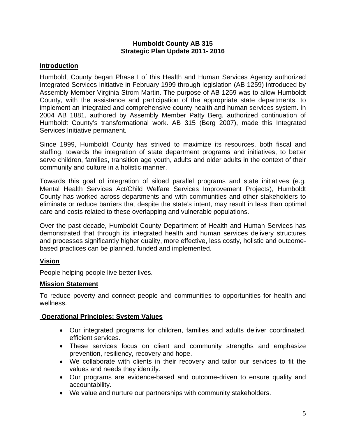#### **Humboldt County AB 315 Strategic Plan Update 2011- 2016**

# **Introduction**

Humboldt County began Phase I of this Health and Human Services Agency authorized Integrated Services Initiative in February 1999 through legislation (AB 1259) introduced by Assembly Member Virginia Strom-Martin. The purpose of AB 1259 was to allow Humboldt County, with the assistance and participation of the appropriate state departments, to implement an integrated and comprehensive county health and human services system. In 2004 AB 1881, authored by Assembly Member Patty Berg, authorized continuation of Humboldt County's transformational work. AB 315 (Berg 2007), made this Integrated Services Initiative permanent.

Since 1999, Humboldt County has strived to maximize its resources, both fiscal and staffing, towards the integration of state department programs and initiatives, to better serve children, families, transition age youth, adults and older adults in the context of their community and culture in a holistic manner.

Towards this goal of integration of siloed parallel programs and state initiatives (e.g. Mental Health Services Act/Child Welfare Services Improvement Projects), Humboldt County has worked across departments and with communities and other stakeholders to eliminate or reduce barriers that despite the state's intent, may result in less than optimal care and costs related to these overlapping and vulnerable populations.

Over the past decade, Humboldt County Department of Health and Human Services has demonstrated that through its integrated health and human services delivery structures and processes significantly higher quality, more effective, less costly, holistic and outcomebased practices can be planned, funded and implemented.

# **Vision**

People helping people live better lives.

# **Mission Statement**

To reduce poverty and connect people and communities to opportunities for health and wellness.

# **Operational Principles: System Values**

- Our integrated programs for children, families and adults deliver coordinated, efficient services.
- These services focus on client and community strengths and emphasize prevention, resiliency, recovery and hope.
- We collaborate with clients in their recovery and tailor our services to fit the values and needs they identify.
- Our programs are evidence-based and outcome-driven to ensure quality and accountability.
- We value and nurture our partnerships with community stakeholders.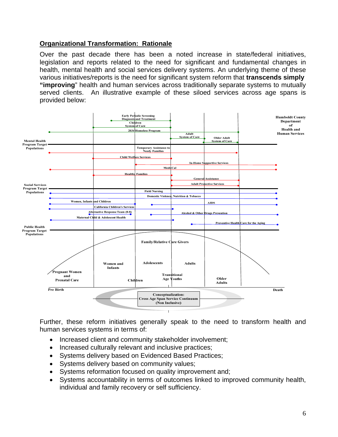# **Organizational Transformation: Rationale**

Over the past decade there has been a noted increase in state/federal initiatives, legislation and reports related to the need for significant and fundamental changes in health, mental health and social services delivery systems. An underlying theme of these various initiatives/reports is the need for significant system reform that **transcends simply "improving**" health and human services across traditionally separate systems to mutually served clients. An illustrative example of these siloed services across age spans is provided below:



Further, these reform initiatives generally speak to the need to transform health and human services systems in terms of:

- Increased client and community stakeholder involvement;
- Increased culturally relevant and inclusive practices;
- Systems delivery based on Evidenced Based Practices;
- Systems delivery based on community values;
- Systems reformation focused on quality improvement and;
- Systems accountability in terms of outcomes linked to improved community health, individual and family recovery or self sufficiency.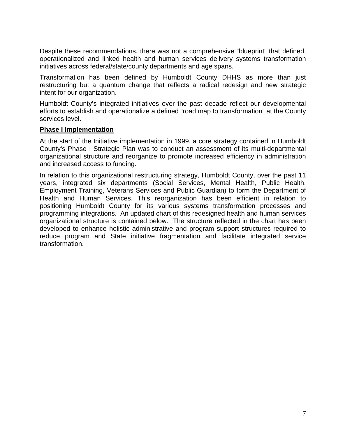Despite these recommendations, there was not a comprehensive "blueprint" that defined, operationalized and linked health and human services delivery systems transformation initiatives across federal/state/county departments and age spans.

Transformation has been defined by Humboldt County DHHS as more than just restructuring but a quantum change that reflects a radical redesign and new strategic intent for our organization.

Humboldt County's integrated initiatives over the past decade reflect our developmental efforts to establish and operationalize a defined "road map to transformation" at the County services level.

# **Phase I Implementation**

At the start of the Initiative implementation in 1999, a core strategy contained in Humboldt County's Phase I Strategic Plan was to conduct an assessment of its multi-departmental organizational structure and reorganize to promote increased efficiency in administration and increased access to funding.

In relation to this organizational restructuring strategy, Humboldt County, over the past 11 years, integrated six departments (Social Services, Mental Health, Public Health, Employment Training, Veterans Services and Public Guardian) to form the Department of Health and Human Services. This reorganization has been efficient in relation to positioning Humboldt County for its various systems transformation processes and programming integrations. An updated chart of this redesigned health and human services organizational structure is contained below. The structure reflected in the chart has been developed to enhance holistic administrative and program support structures required to reduce program and State initiative fragmentation and facilitate integrated service transformation.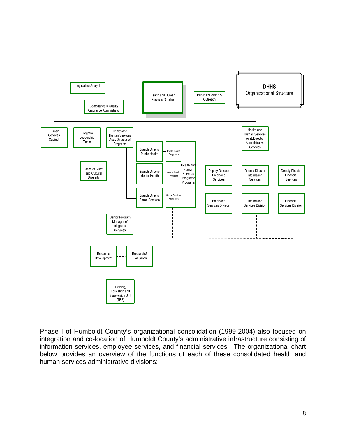

Phase I of Humboldt County's organizational consolidation (1999-2004) also focused on integration and co-location of Humboldt County's administrative infrastructure consisting of information services, employee services, and financial services. The organizational chart below provides an overview of the functions of each of these consolidated health and human services administrative divisions: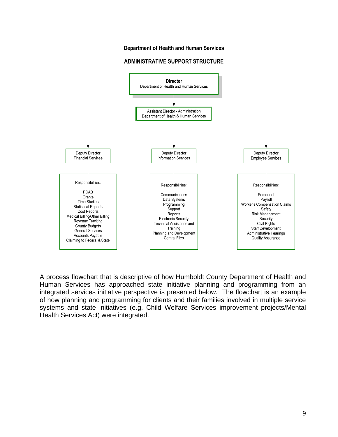#### **Department of Health and Human Services**

#### **ADMINISTRATIVE SUPPORT STRUCTURE**



A process flowchart that is descriptive of how Humboldt County Department of Health and Human Services has approached state initiative planning and programming from an integrated services initiative perspective is presented below. The flowchart is an example of how planning and programming for clients and their families involved in multiple service systems and state initiatives (e.g. Child Welfare Services improvement projects/Mental Health Services Act) were integrated.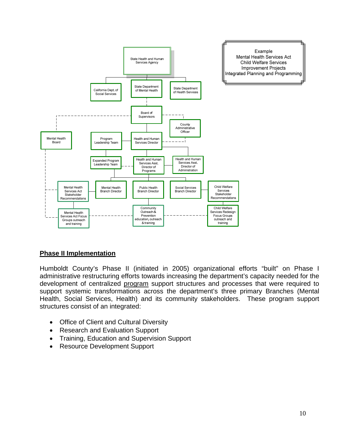

# **Phase II Implementation**

Humboldt County's Phase II (initiated in 2005) organizational efforts "built" on Phase I administrative restructuring efforts towards increasing the department's capacity needed for the development of centralized program support structures and processes that were required to support systemic transformations across the department's three primary Branches (Mental Health, Social Services, Health) and its community stakeholders. These program support structures consist of an integrated:

- **Office of Client and Cultural Diversity**
- Research and Evaluation Support
- Training, Education and Supervision Support
- Resource Development Support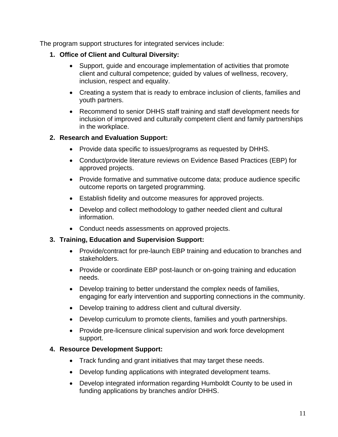The program support structures for integrated services include:

- **1. Office of Client and Cultural Diversity:** 
	- Support, guide and encourage implementation of activities that promote client and cultural competence; guided by values of wellness, recovery, inclusion, respect and equality.
	- Creating a system that is ready to embrace inclusion of clients, families and youth partners.
	- Recommend to senior DHHS staff training and staff development needs for inclusion of improved and culturally competent client and family partnerships in the workplace.

# **2. Research and Evaluation Support:**

- Provide data specific to issues/programs as requested by DHHS.
- Conduct/provide literature reviews on Evidence Based Practices (EBP) for approved projects.
- Provide formative and summative outcome data; produce audience specific outcome reports on targeted programming.
- Establish fidelity and outcome measures for approved projects.
- Develop and collect methodology to gather needed client and cultural information.
- Conduct needs assessments on approved projects.

# **3. Training, Education and Supervision Support:**

- Provide/contract for pre-launch EBP training and education to branches and stakeholders.
- Provide or coordinate EBP post-launch or on-going training and education needs.
- Develop training to better understand the complex needs of families, engaging for early intervention and supporting connections in the community.
- Develop training to address client and cultural diversity.
- Develop curriculum to promote clients, families and youth partnerships.
- Provide pre-licensure clinical supervision and work force development support.

# **4. Resource Development Support:**

- Track funding and grant initiatives that may target these needs.
- Develop funding applications with integrated development teams.
- Develop integrated information regarding Humboldt County to be used in funding applications by branches and/or DHHS.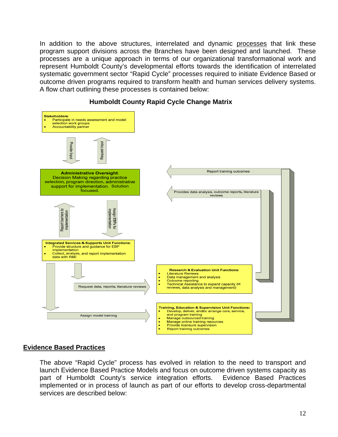In addition to the above structures, interrelated and dynamic processes that link these program support divisions across the Branches have been designed and launched. These processes are a unique approach in terms of our organizational transformational work and represent Humboldt County's developmental efforts towards the identification of interrelated systematic government sector "Rapid Cycle" processes required to initiate Evidence Based or outcome driven programs required to transform health and human services delivery systems. A flow chart outlining these processes is contained below:



#### **Humboldt County Rapid Cycle Change Matrix**

# **Evidence Based Practices**

The above "Rapid Cycle" process has evolved in relation to the need to transport and launch Evidence Based Practice Models and focus on outcome driven systems capacity as part of Humboldt County's service integration efforts. Evidence Based Practices implemented or in process of launch as part of our efforts to develop cross-departmental services are described below: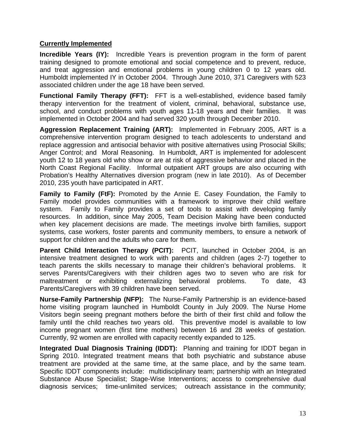# **Currently Implemented**

**Incredible Years (IY):** Incredible Years is prevention program in the form of parent training designed to promote emotional and social competence and to prevent, reduce, and treat aggression and emotional problems in young children 0 to 12 years old. Humboldt implemented IY in October 2004. Through June 2010, 371 Caregivers with 523 associated children under the age 18 have been served.

**Functional Family Therapy (FFT):** FFT is a well-established, evidence based family therapy intervention for the treatment of violent, criminal, behavioral, substance use, school, and conduct problems with youth ages 11-18 years and their families. It was implemented in October 2004 and had served 320 youth through December 2010.

**Aggression Replacement Training (ART):** Implemented in February 2005, ART is a comprehensive intervention program designed to teach adolescents to understand and replace aggression and antisocial behavior with positive alternatives using Prosocial Skills; Anger Control; and Moral Reasoning. In Humboldt, ART is implemented for adolescent youth 12 to 18 years old who show or are at risk of aggressive behavior and placed in the North Coast Regional Facility. Informal outpatient ART groups are also occurring with Probation's Healthy Alternatives diversion program (new in late 2010). As of December 2010, 235 youth have participated in ART.

**Family to Family (FtF):** Promoted by the Annie E. Casey Foundation, the Family to Family model provides communities with a framework to improve their child welfare system. Family to Family provides a set of tools to assist with developing family resources. In addition, since May 2005, Team Decision Making have been conducted when key placement decisions are made. The meetings involve birth families, support systems, case workers, foster parents and community members, to ensure a network of support for children and the adults who care for them.

**Parent Child Interaction Therapy (PCIT):** PCIT, launched in October 2004, is an intensive treatment designed to work with parents and children (ages 2-7) together to teach parents the skills necessary to manage their children's behavioral problems. It serves Parents/Caregivers with their children ages two to seven who are risk for maltreatment or exhibiting externalizing behavioral problems. To date, 43 Parents/Caregivers with 39 children have been served.

**Nurse-Family Partnership (NFP):** The Nurse-Family Partnership is an evidence-based home visiting program launched in Humboldt County in July 2009. The Nurse Home Visitors begin seeing pregnant mothers before the birth of their first child and follow the family until the child reaches two years old. This preventive model is available to low income pregnant women (first time mothers) between 16 and 28 weeks of gestation. Currently, 92 women are enrolled with capacity recently expanded to 125.

**Integrated Dual Diagnosis Training (IDDT):** Planning and training for IDDT began in Spring 2010. Integrated treatment means that both psychiatric and substance abuse treatment are provided at the same time, at the same place, and by the same team. Specific IDDT components include: multidisciplinary team; partnership with an Integrated Substance Abuse Specialist; Stage-Wise Interventions; access to comprehensive dual diagnosis services; time-unlimited services; outreach assistance in the community;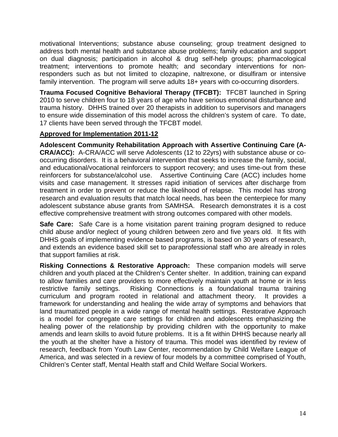motivational Interventions; substance abuse counseling; group treatment designed to address both mental health and substance abuse problems; family education and support on dual diagnosis; participation in alcohol & drug self-help groups; pharmacological treatment; interventions to promote health; and secondary interventions for nonresponders such as but not limited to clozapine, naltrexone, or disulfiram or intensive family intervention. The program will serve adults 18+ years with co-occurring disorders.

**Trauma Focused Cognitive Behavioral Therapy (TFCBT):** TFCBT launched in Spring 2010 to serve children four to 18 years of age who have serious emotional disturbance and trauma history. DHHS trained over 20 therapists in addition to supervisors and managers to ensure wide dissemination of this model across the children's system of care. To date, 17 clients have been served through the TFCBT model.

# **Approved for Implementation 2011-12**

**Adolescent Community Rehabilitation Approach with Assertive Continuing Care (A-CRA/ACC):** A-CRA/ACC will serve Adolescents (12 to 22yrs) with substance abuse or cooccurring disorders. It is a behavioral intervention that seeks to increase the family, social, and educational/vocational reinforcers to support recovery; and uses time-out from these reinforcers for substance/alcohol use. Assertive Continuing Care (ACC) includes home visits and case management. It stresses rapid initiation of services after discharge from treatment in order to prevent or reduce the likelihood of relapse. This model has strong research and evaluation results that match local needs, has been the centerpiece for many adolescent substance abuse grants from SAMHSA. Research demonstrates it is a cost effective comprehensive treatment with strong outcomes compared with other models.

**Safe Care:** Safe Care is a home visitation parent training program designed to reduce child abuse and/or neglect of young children between zero and five years old. It fits with DHHS goals of implementing evidence based programs, is based on 30 years of research, and extends an evidence based skill set to paraprofessional staff who are already in roles that support families at risk.

**Risking Connections & Restorative Approach:** These companion models will serve children and youth placed at the Children's Center shelter. In addition, training can expand to allow families and care providers to more effectively maintain youth at home or in less restrictive family settings. Risking Connections is a foundational trauma training curriculum and program rooted in relational and attachment theory. It provides a framework for understanding and healing the wide array of symptoms and behaviors that land traumatized people in a wide range of mental health settings. Restorative Approach is a model for congregate care settings for children and adolescents emphasizing the healing power of the relationship by providing children with the opportunity to make amends and learn skills to avoid future problems. It is a fit within DHHS because nearly all the youth at the shelter have a history of trauma. This model was identified by review of research, feedback from Youth Law Center, recommendation by Child Welfare League of America, and was selected in a review of four models by a committee comprised of Youth, Children's Center staff, Mental Health staff and Child Welfare Social Workers.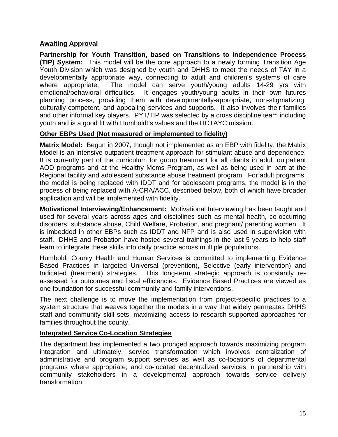# **Awaiting Approval**

**Partnership for Youth Transition, based on Transitions to Independence Process (TIP) System:** This model will be the core approach to a newly forming Transition Age Youth Division which was designed by youth and DHHS to meet the needs of TAY in a developmentally appropriate way, connecting to adult and children's systems of care where appropriate. The model can serve youth/young adults 14-29 yrs with emotional/behavioral difficulties. It engages youth/young adults in their own futures planning process, providing them with developmentally-appropriate, non-stigmatizing, culturally-competent, and appealing services and supports. It also involves their families and other informal key players. PYT/TIP was selected by a cross discipline team including youth and is a good fit with Humboldt's values and the HCTAYC mission.

# **Other EBPs Used (Not measured or implemented to fidelity)**

**Matrix Model:** Begun in 2007, though not implemented as an EBP with fidelity, the Matrix Model is an intensive outpatient treatment approach for stimulant abuse and dependence. It is currently part of the curriculum for group treatment for all clients in adult outpatient AOD programs and at the Healthy Moms Program, as well as being used in part at the Regional facility and adolescent substance abuse treatment program. For adult programs, the model is being replaced with IDDT and for adolescent programs, the model is in the process of being replaced with A-CRA/ACC, described below, both of which have broader application and will be implemented with fidelity.

**Motivational Interviewing/Enhancement:** Motivational Interviewing has been taught and used for several years across ages and disciplines such as mental health, co-occurring disorders, substance abuse, Child Welfare, Probation, and pregnant/ parenting women. It is imbedded in other EBPs such as IDDT and NFP and is also used in supervision with staff. DHHS and Probation have hosted several trainings in the last 5 years to help staff learn to integrate these skills into daily practice across multiple populations.

Humboldt County Health and Human Services is committed to implementing Evidence Based Practices in targeted Universal (prevention), Selective (early intervention) and Indicated (treatment) strategies. This long-term strategic approach is constantly reassessed for outcomes and fiscal efficiencies. Evidence Based Practices are viewed as one foundation for successful community and family interventions.

The next challenge is to move the implementation from project-specific practices to a system structure that weaves together the models in a way that widely permeates DHHS staff and community skill sets, maximizing access to research-supported approaches for families throughout the county.

# **Integrated Service Co-Location Strategies**

The department has implemented a two pronged approach towards maximizing program integration and ultimately, service transformation which involves centralization of administrative and program support services as well as co-locations of departmental programs where appropriate; and co-located decentralized services in partnership with community stakeholders in a developmental approach towards service delivery transformation.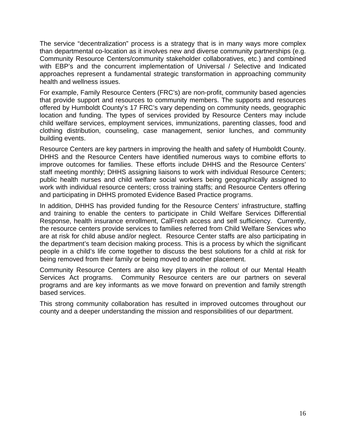The service "decentralization" process is a strategy that is in many ways more complex than departmental co-location as it involves new and diverse community partnerships (e.g. Community Resource Centers/community stakeholder collaboratives, etc.) and combined with EBP's and the concurrent implementation of Universal / Selective and Indicated approaches represent a fundamental strategic transformation in approaching community health and wellness issues.

For example, Family Resource Centers (FRC's) are non-profit, community based agencies that provide support and resources to community members. The supports and resources offered by Humboldt County's 17 FRC's vary depending on community needs, geographic location and funding. The types of services provided by Resource Centers may include child welfare services, employment services, immunizations, parenting classes, food and clothing distribution, counseling, case management, senior lunches, and community building events.

Resource Centers are key partners in improving the health and safety of Humboldt County. DHHS and the Resource Centers have identified numerous ways to combine efforts to improve outcomes for families. These efforts include DHHS and the Resource Centers' staff meeting monthly; DHHS assigning liaisons to work with individual Resource Centers; public health nurses and child welfare social workers being geographically assigned to work with individual resource centers; cross training staffs; and Resource Centers offering and participating in DHHS promoted Evidence Based Practice programs.

In addition, DHHS has provided funding for the Resource Centers' infrastructure, staffing and training to enable the centers to participate in Child Welfare Services Differential Response, health insurance enrollment, CalFresh access and self sufficiency. Currently, the resource centers provide services to families referred from Child Welfare Services who are at risk for child abuse and/or neglect. Resource Center staffs are also participating in the department's team decision making process. This is a process by which the significant people in a child's life come together to discuss the best solutions for a child at risk for being removed from their family or being moved to another placement.

Community Resource Centers are also key players in the rollout of our Mental Health Services Act programs. Community Resource centers are our partners on several programs and are key informants as we move forward on prevention and family strength based services.

This strong community collaboration has resulted in improved outcomes throughout our county and a deeper understanding the mission and responsibilities of our department.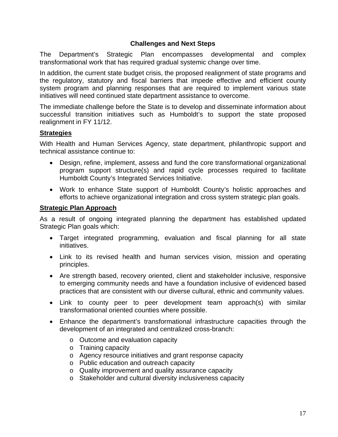# **Challenges and Next Steps**

The Department's Strategic Plan encompasses developmental and complex transformational work that has required gradual systemic change over time.

In addition, the current state budget crisis, the proposed realignment of state programs and the regulatory, statutory and fiscal barriers that impede effective and efficient county system program and planning responses that are required to implement various state initiatives will need continued state department assistance to overcome.

The immediate challenge before the State is to develop and disseminate information about successful transition initiatives such as Humboldt's to support the state proposed realignment in FY 11/12.

# **Strategies**

With Health and Human Services Agency, state department, philanthropic support and technical assistance continue to:

- Design, refine, implement, assess and fund the core transformational organizational program support structure(s) and rapid cycle processes required to facilitate Humboldt County's Integrated Services Initiative.
- Work to enhance State support of Humboldt County's holistic approaches and efforts to achieve organizational integration and cross system strategic plan goals.

# **Strategic Plan Approach**

As a result of ongoing integrated planning the department has established updated Strategic Plan goals which:

- Target integrated programming, evaluation and fiscal planning for all state initiatives.
- Link to its revised health and human services vision, mission and operating principles.
- Are strength based, recovery oriented, client and stakeholder inclusive, responsive to emerging community needs and have a foundation inclusive of evidenced based practices that are consistent with our diverse cultural, ethnic and community values.
- Link to county peer to peer development team approach(s) with similar transformational oriented counties where possible.
- Enhance the department's transformational infrastructure capacities through the development of an integrated and centralized cross-branch:
	- o Outcome and evaluation capacity
	- o Training capacity
	- o Agency resource initiatives and grant response capacity
	- o Public education and outreach capacity
	- o Quality improvement and quality assurance capacity
	- o Stakeholder and cultural diversity inclusiveness capacity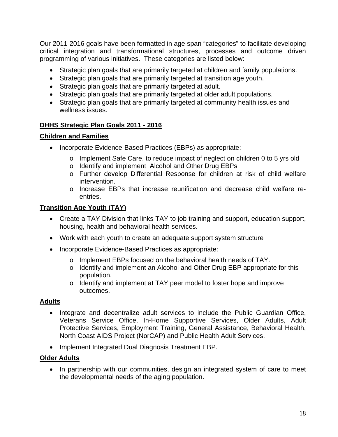Our 2011-2016 goals have been formatted in age span "categories" to facilitate developing critical integration and transformational structures, processes and outcome driven programming of various initiatives. These categories are listed below:

- Strategic plan goals that are primarily targeted at children and family populations.
- Strategic plan goals that are primarily targeted at transition age youth.
- Strategic plan goals that are primarily targeted at adult.
- Strategic plan goals that are primarily targeted at older adult populations.
- Strategic plan goals that are primarily targeted at community health issues and wellness issues.

# **DHHS Strategic Plan Goals 2011 - 2016**

# **Children and Families**

- Incorporate Evidence-Based Practices (EBPs) as appropriate:
	- o Implement Safe Care, to reduce impact of neglect on children 0 to 5 yrs old
	- o Identify and implement Alcohol and Other Drug EBPs
	- o Further develop Differential Response for children at risk of child welfare intervention.
	- o Increase EBPs that increase reunification and decrease child welfare reentries.

# **Transition Age Youth (TAY)**

- Create a TAY Division that links TAY to job training and support, education support, housing, health and behavioral health services.
- Work with each youth to create an adequate support system structure
- Incorporate Evidence-Based Practices as appropriate:
	- o Implement EBPs focused on the behavioral health needs of TAY.
	- o Identify and implement an Alcohol and Other Drug EBP appropriate for this population.
	- o Identify and implement at TAY peer model to foster hope and improve outcomes.

# **Adults**

- Integrate and decentralize adult services to include the Public Guardian Office, Veterans Service Office, In-Home Supportive Services, Older Adults, Adult Protective Services, Employment Training, General Assistance, Behavioral Health, North Coast AIDS Project (NorCAP) and Public Health Adult Services.
- Implement Integrated Dual Diagnosis Treatment EBP.

# **Older Adults**

• In partnership with our communities, design an integrated system of care to meet the developmental needs of the aging population.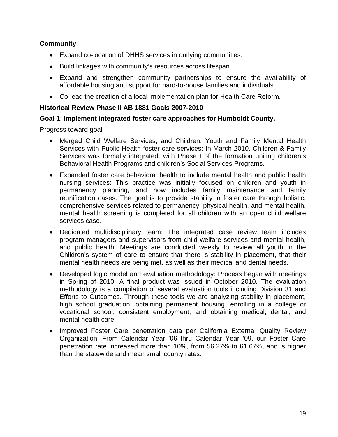# **Community**

- Expand co-location of DHHS services in outlying communities.
- Build linkages with community's resources across lifespan.
- Expand and strengthen community partnerships to ensure the availability of affordable housing and support for hard-to-house families and individuals.
- Co-lead the creation of a local implementation plan for Health Care Reform.

# **Historical Review Phase II AB 1881 Goals 2007-2010**

# **Goal 1**: **Implement integrated foster care approaches for Humboldt County.**

- Merged Child Welfare Services, and Children, Youth and Family Mental Health Services with Public Health foster care services: In March 2010, Children & Family Services was formally integrated, with Phase I of the formation uniting children's Behavioral Health Programs and children's Social Services Programs.
- Expanded foster care behavioral health to include mental health and public health nursing services: This practice was initially focused on children and youth in permanency planning, and now includes family maintenance and family reunification cases. The goal is to provide stability in foster care through holistic, comprehensive services related to permanency, physical health, and mental health. mental health screening is completed for all children with an open child welfare services case.
- Dedicated multidisciplinary team: The integrated case review team includes program managers and supervisors from child welfare services and mental health, and public health. Meetings are conducted weekly to review all youth in the Children's system of care to ensure that there is stability in placement, that their mental health needs are being met, as well as their medical and dental needs.
- Developed logic model and evaluation methodology: Process began with meetings in Spring of 2010. A final product was issued in October 2010. The evaluation methodology is a compilation of several evaluation tools including Division 31 and Efforts to Outcomes. Through these tools we are analyzing stability in placement, high school graduation, obtaining permanent housing, enrolling in a college or vocational school, consistent employment, and obtaining medical, dental, and mental health care.
- Improved Foster Care penetration data per California External Quality Review Organization: From Calendar Year '06 thru Calendar Year '09, our Foster Care penetration rate increased more than 10%, from 56.27% to 61.67%, and is higher than the statewide and mean small county rates.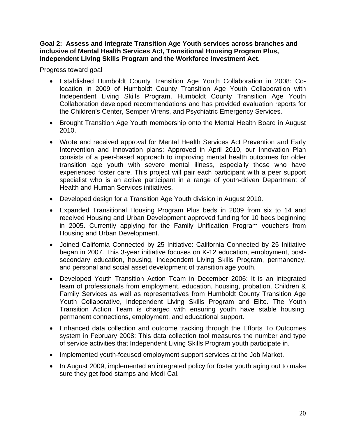#### **Goal 2: Assess and integrate Transition Age Youth services across branches and inclusive of Mental Health Services Act, Transitional Housing Program Plus, Independent Living Skills Program and the Workforce Investment Act.**

- Established Humboldt County Transition Age Youth Collaboration in 2008: Colocation in 2009 of Humboldt County Transition Age Youth Collaboration with Independent Living Skills Program. Humboldt County Transition Age Youth Collaboration developed recommendations and has provided evaluation reports for the Children's Center, Semper Virens, and Psychiatric Emergency Services.
- Brought Transition Age Youth membership onto the Mental Health Board in August 2010.
- Wrote and received approval for Mental Health Services Act Prevention and Early Intervention and Innovation plans: Approved in April 2010, our Innovation Plan consists of a peer-based approach to improving mental health outcomes for older transition age youth with severe mental illness, especially those who have experienced foster care. This project will pair each participant with a peer support specialist who is an active participant in a range of youth-driven Department of Health and Human Services initiatives.
- Developed design for a Transition Age Youth division in August 2010.
- Expanded Transitional Housing Program Plus beds in 2009 from six to 14 and received Housing and Urban Development approved funding for 10 beds beginning in 2005. Currently applying for the Family Unification Program vouchers from Housing and Urban Development.
- Joined California Connected by 25 Initiative: California Connected by 25 Initiative began in 2007. This 3-year initiative focuses on K-12 education, employment, postsecondary education, housing, Independent Living Skills Program, permanency, and personal and social asset development of transition age youth.
- Developed Youth Transition Action Team in December 2006: It is an integrated team of professionals from employment, education, housing, probation, Children & Family Services as well as representatives from Humboldt County Transition Age Youth Collaborative, Independent Living Skills Program and Elite. The Youth Transition Action Team is charged with ensuring youth have stable housing, permanent connections, employment, and educational support.
- Enhanced data collection and outcome tracking through the Efforts To Outcomes system in February 2008: This data collection tool measures the number and type of service activities that Independent Living Skills Program youth participate in.
- Implemented youth-focused employment support services at the Job Market.
- In August 2009, implemented an integrated policy for foster youth aging out to make sure they get food stamps and Medi-Cal.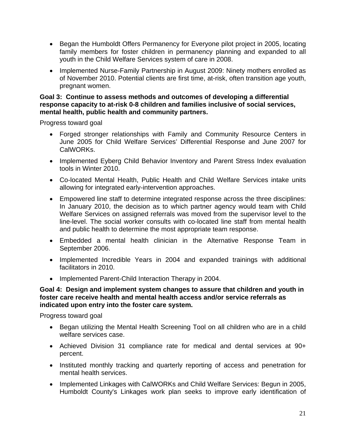- Began the Humboldt Offers Permanency for Everyone pilot project in 2005, locating family members for foster children in permanency planning and expanded to all youth in the Child Welfare Services system of care in 2008.
- Implemented Nurse-Family Partnership in August 2009: Ninety mothers enrolled as of November 2010. Potential clients are first time, at-risk, often transition age youth, pregnant women.

# **Goal 3: Continue to assess methods and outcomes of developing a differential response capacity to at-risk 0-8 children and families inclusive of social services, mental health, public health and community partners.**

Progress toward goal

- Forged stronger relationships with Family and Community Resource Centers in June 2005 for Child Welfare Services' Differential Response and June 2007 for CalWORKs.
- Implemented Eyberg Child Behavior Inventory and Parent Stress Index evaluation tools in Winter 2010.
- Co-located Mental Health, Public Health and Child Welfare Services intake units allowing for integrated early-intervention approaches.
- Empowered line staff to determine integrated response across the three disciplines: In January 2010, the decision as to which partner agency would team with Child Welfare Services on assigned referrals was moved from the supervisor level to the line-level. The social worker consults with co-located line staff from mental health and public health to determine the most appropriate team response.
- Embedded a mental health clinician in the Alternative Response Team in September 2006.
- Implemented Incredible Years in 2004 and expanded trainings with additional facilitators in 2010.
- Implemented Parent-Child Interaction Therapy in 2004.

# **Goal 4: Design and implement system changes to assure that children and youth in foster care receive health and mental health access and/or service referrals as indicated upon entry into the foster care system.**

- Began utilizing the Mental Health Screening Tool on all children who are in a child welfare services case.
- Achieved Division 31 compliance rate for medical and dental services at 90+ percent.
- Instituted monthly tracking and quarterly reporting of access and penetration for mental health services.
- Implemented Linkages with CalWORKs and Child Welfare Services: Begun in 2005, Humboldt County's Linkages work plan seeks to improve early identification of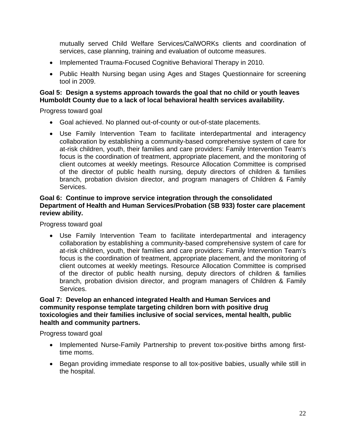mutually served Child Welfare Services/CalWORKs clients and coordination of services, case planning, training and evaluation of outcome measures.

- Implemented Trauma-Focused Cognitive Behavioral Therapy in 2010.
- Public Health Nursing began using Ages and Stages Questionnaire for screening tool in 2009.

# **Goal 5: Design a systems approach towards the goal that no child or youth leaves Humboldt County due to a lack of local behavioral health services availability.**

Progress toward goal

- Goal achieved. No planned out-of-county or out-of-state placements.
- Use Family Intervention Team to facilitate interdepartmental and interagency collaboration by establishing a community-based comprehensive system of care for at-risk children, youth, their families and care providers: Family Intervention Team's focus is the coordination of treatment, appropriate placement, and the monitoring of client outcomes at weekly meetings. Resource Allocation Committee is comprised of the director of public health nursing, deputy directors of children & families branch, probation division director, and program managers of Children & Family Services.

# **Goal 6: Continue to improve service integration through the consolidated Department of Health and Human Services/Probation (SB 933) foster care placement review ability.**

Progress toward goal

• Use Family Intervention Team to facilitate interdepartmental and interagency collaboration by establishing a community-based comprehensive system of care for at-risk children, youth, their families and care providers: Family Intervention Team's focus is the coordination of treatment, appropriate placement, and the monitoring of client outcomes at weekly meetings. Resource Allocation Committee is comprised of the director of public health nursing, deputy directors of children & families branch, probation division director, and program managers of Children & Family Services.

# **Goal 7: Develop an enhanced integrated Health and Human Services and community response template targeting children born with positive drug toxicologies and their families inclusive of social services, mental health, public health and community partners.**

- Implemented Nurse-Family Partnership to prevent tox-positive births among firsttime moms.
- Began providing immediate response to all tox-positive babies, usually while still in the hospital.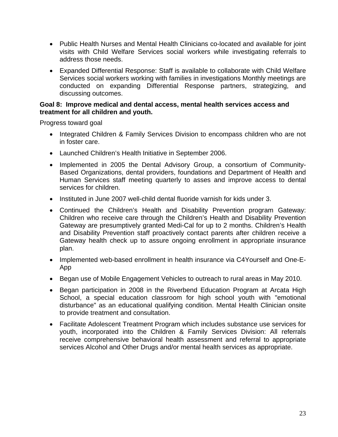- Public Health Nurses and Mental Health Clinicians co-located and available for joint visits with Child Welfare Services social workers while investigating referrals to address those needs.
- Expanded Differential Response: Staff is available to collaborate with Child Welfare Services social workers working with families in investigations Monthly meetings are conducted on expanding Differential Response partners, strategizing, and discussing outcomes.

#### **Goal 8: Improve medical and dental access, mental health services access and treatment for all children and youth.**

- Integrated Children & Family Services Division to encompass children who are not in foster care.
- Launched Children's Health Initiative in September 2006.
- Implemented in 2005 the Dental Advisory Group, a consortium of Community-Based Organizations, dental providers, foundations and Department of Health and Human Services staff meeting quarterly to asses and improve access to dental services for children.
- Instituted in June 2007 well-child dental fluoride varnish for kids under 3.
- Continued the Children's Health and Disability Prevention program Gateway: Children who receive care through the Children's Health and Disability Prevention Gateway are presumptively granted Medi-Cal for up to 2 months. Children's Health and Disability Prevention staff proactively contact parents after children receive a Gateway health check up to assure ongoing enrollment in appropriate insurance plan.
- Implemented web-based enrollment in health insurance via C4Yourself and One-E-App
- Began use of Mobile Engagement Vehicles to outreach to rural areas in May 2010.
- Began participation in 2008 in the Riverbend Education Program at Arcata High School, a special education classroom for high school youth with "emotional disturbance" as an educational qualifying condition. Mental Health Clinician onsite to provide treatment and consultation.
- Facilitate Adolescent Treatment Program which includes substance use services for youth, incorporated into the Children & Family Services Division: All referrals receive comprehensive behavioral health assessment and referral to appropriate services Alcohol and Other Drugs and/or mental health services as appropriate.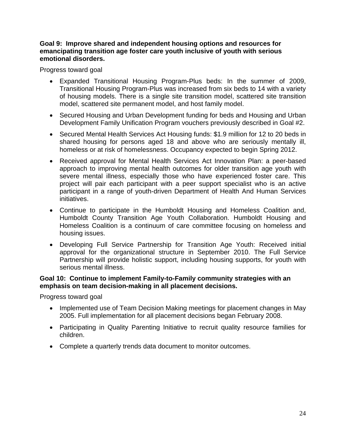# **Goal 9: Improve shared and independent housing options and resources for emancipating transition age foster care youth inclusive of youth with serious emotional disorders.**

Progress toward goal

- Expanded Transitional Housing Program-Plus beds: In the summer of 2009, Transitional Housing Program-Plus was increased from six beds to 14 with a variety of housing models. There is a single site transition model, scattered site transition model, scattered site permanent model, and host family model.
- Secured Housing and Urban Development funding for beds and Housing and Urban Development Family Unification Program vouchers previously described in Goal #2.
- Secured Mental Health Services Act Housing funds: \$1.9 million for 12 to 20 beds in shared housing for persons aged 18 and above who are seriously mentally ill, homeless or at risk of homelessness. Occupancy expected to begin Spring 2012.
- Received approval for Mental Health Services Act Innovation Plan: a peer-based approach to improving mental health outcomes for older transition age youth with severe mental illness, especially those who have experienced foster care. This project will pair each participant with a peer support specialist who is an active participant in a range of youth-driven Department of Health And Human Services initiatives.
- Continue to participate in the Humboldt Housing and Homeless Coalition and, Humboldt County Transition Age Youth Collaboration. Humboldt Housing and Homeless Coalition is a continuum of care committee focusing on homeless and housing issues.
- Developing Full Service Partnership for Transition Age Youth: Received initial approval for the organizational structure in September 2010. The Full Service Partnership will provide holistic support, including housing supports, for youth with serious mental illness.

# **Goal 10: Continue to implement Family-to-Family community strategies with an emphasis on team decision-making in all placement decisions.**

- Implemented use of Team Decision Making meetings for placement changes in May 2005. Full implementation for all placement decisions began February 2008.
- Participating in Quality Parenting Initiative to recruit quality resource families for children.
- Complete a quarterly trends data document to monitor outcomes.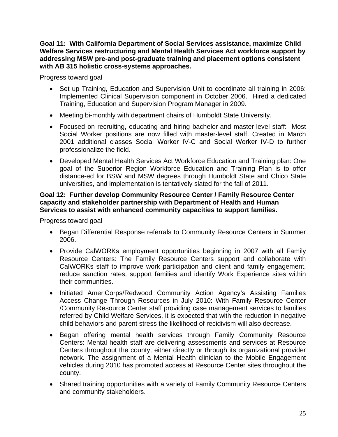**Goal 11: With California Department of Social Services assistance, maximize Child Welfare Services restructuring and Mental Health Services Act workforce support by addressing MSW pre-and post-graduate training and placement options consistent with AB 315 holistic cross-systems approaches.** 

Progress toward goal

- Set up Training, Education and Supervision Unit to coordinate all training in 2006: Implemented Clinical Supervision component in October 2006. Hired a dedicated Training, Education and Supervision Program Manager in 2009.
- Meeting bi-monthly with department chairs of Humboldt State University.
- Focused on recruiting, educating and hiring bachelor-and master-level staff: Most Social Worker positions are now filled with master-level staff. Created in March 2001 additional classes Social Worker IV-C and Social Worker IV-D to further professionalize the field.
- Developed Mental Health Services Act Workforce Education and Training plan: One goal of the Superior Region Workforce Education and Training Plan is to offer distance-ed for BSW and MSW degrees through Humboldt State and Chico State universities, and implementation is tentatively slated for the fall of 2011.

# **Goal 12: Further develop Community Resource Center / Family Resource Center capacity and stakeholder partnership with Department of Health and Human Services to assist with enhanced community capacities to support families.**

- Began Differential Response referrals to Community Resource Centers in Summer 2006.
- Provide CalWORKs employment opportunities beginning in 2007 with all Family Resource Centers: The Family Resource Centers support and collaborate with CalWORKs staff to improve work participation and client and family engagement, reduce sanction rates, support families and identify Work Experience sites within their communities.
- Initiated AmeriCorps/Redwood Community Action Agency's Assisting Families Access Change Through Resources in July 2010: With Family Resource Center /Community Resource Center staff providing case management services to families referred by Child Welfare Services, it is expected that with the reduction in negative child behaviors and parent stress the likelihood of recidivism will also decrease.
- Began offering mental health services through Family Community Resource Centers: Mental health staff are delivering assessments and services at Resource Centers throughout the county, either directly or through its organizational provider network. The assignment of a Mental Health clinician to the Mobile Engagement vehicles during 2010 has promoted access at Resource Center sites throughout the county.
- Shared training opportunities with a variety of Family Community Resource Centers and community stakeholders.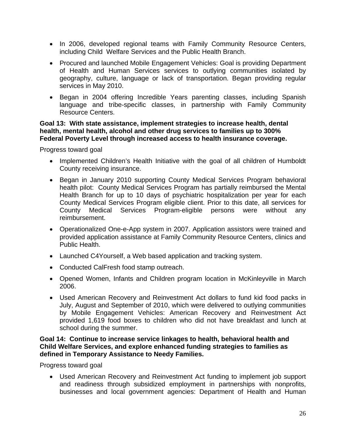- In 2006, developed regional teams with Family Community Resource Centers, including Child Welfare Services and the Public Health Branch.
- Procured and launched Mobile Engagement Vehicles: Goal is providing Department of Health and Human Services services to outlying communities isolated by geography, culture, language or lack of transportation. Began providing regular services in May 2010.
- Began in 2004 offering Incredible Years parenting classes, including Spanish language and tribe-specific classes, in partnership with Family Community Resource Centers.

# **Goal 13: With state assistance, implement strategies to increase health, dental health, mental health, alcohol and other drug services to families up to 300% Federal Poverty Level through increased access to health insurance coverage.**

Progress toward goal

- Implemented Children's Health Initiative with the goal of all children of Humboldt County receiving insurance.
- Began in January 2010 supporting County Medical Services Program behavioral health pilot: County Medical Services Program has partially reimbursed the Mental Health Branch for up to 10 days of psychiatric hospitalization per year for each County Medical Services Program eligible client. Prior to this date, all services for County Medical Services Program-eligible persons were without any reimbursement.
- Operationalized One-e-App system in 2007. Application assistors were trained and provided application assistance at Family Community Resource Centers, clinics and Public Health.
- Launched C4Yourself, a Web based application and tracking system.
- Conducted CalFresh food stamp outreach.
- Opened Women, Infants and Children program location in McKinleyville in March 2006.
- Used American Recovery and Reinvestment Act dollars to fund kid food packs in July, August and September of 2010, which were delivered to outlying communities by Mobile Engagement Vehicles: American Recovery and Reinvestment Act provided 1,619 food boxes to children who did not have breakfast and lunch at school during the summer.

# **Goal 14: Continue to increase service linkages to health, behavioral health and Child Welfare Services, and explore enhanced funding strategies to families as defined in Temporary Assistance to Needy Families.**

Progress toward goal

• Used American Recovery and Reinvestment Act funding to implement job support and readiness through subsidized employment in partnerships with nonprofits, businesses and local government agencies: Department of Health and Human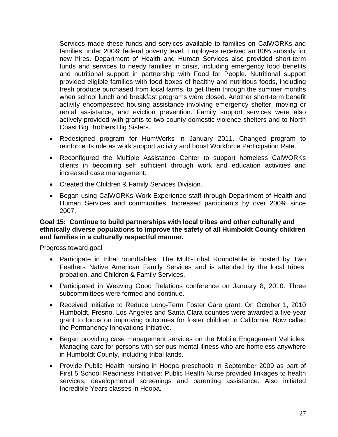Services made these funds and services available to families on CalWORKs and families under 200% federal poverty level. Employers received an 80% subsidy for new hires. Department of Health and Human Services also provided short-term funds and services to needy families in crisis, including emergency food benefits and nutritional support in partnership with Food for People. Nutritional support provided eligible families with food boxes of healthy and nutritious foods, including fresh produce purchased from local farms, to get them through the summer months when school lunch and breakfast programs were closed. Another short-term benefit activity encompassed housing assistance involving emergency shelter, moving or rental assistance, and eviction prevention. Family support services were also actively provided with grants to two county domestic violence shelters and to North Coast Big Brothers Big Sisters.

- Redesigned program for HumWorks in January 2011. Changed program to reinforce its role as work support activity and boost Workforce Participation Rate.
- Reconfigured the Multiple Assistance Center to support homeless CalWORKs clients in becoming self sufficient through work and education activities and increased case management.
- Created the Children & Family Services Division.
- Began using CalWORKs Work Experience staff through Department of Health and Human Services and communities. Increased participants by over 200% since 2007.

#### **Goal 15: Continue to build partnerships with local tribes and other culturally and ethnically diverse populations to improve the safety of all Humboldt County children and families in a culturally respectful manner.**

- Participate in tribal roundtables: The Multi-Tribal Roundtable is hosted by Two Feathers Native American Family Services and is attended by the local tribes, probation, and Children & Family Services.
- Participated in Weaving Good Relations conference on January 8, 2010: Three subcommittees were formed and continue.
- Received Initiative to Reduce Long-Term Foster Care grant: On October 1, 2010 Humboldt, Fresno, Los Angeles and Santa Clara counties were awarded a five-year grant to focus on improving outcomes for foster children in California. Now called the Permanency Innovations Initiative.
- Began providing case management services on the Mobile Engagement Vehicles: Managing care for persons with serious mental illness who are homeless anywhere in Humboldt County, including tribal lands.
- Provide Public Health nursing in Hoopa preschools in September 2009 as part of First 5 School Readiness Initiative: Public Health Nurse provided linkages to health services, developmental screenings and parenting assistance. Also initiated Incredible Years classes in Hoopa.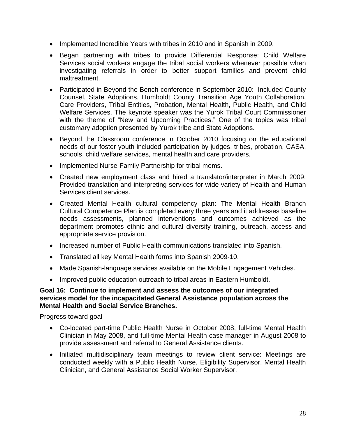- Implemented Incredible Years with tribes in 2010 and in Spanish in 2009.
- Began partnering with tribes to provide Differential Response: Child Welfare Services social workers engage the tribal social workers whenever possible when investigating referrals in order to better support families and prevent child maltreatment.
- Participated in Beyond the Bench conference in September 2010: Included County Counsel, State Adoptions, Humboldt County Transition Age Youth Collaboration, Care Providers, Tribal Entities, Probation, Mental Health, Public Health, and Child Welfare Services. The keynote speaker was the Yurok Tribal Court Commissioner with the theme of "New and Upcoming Practices." One of the topics was tribal customary adoption presented by Yurok tribe and State Adoptions.
- Beyond the Classroom conference in October 2010 focusing on the educational needs of our foster youth included participation by judges, tribes, probation, CASA, schools, child welfare services, mental health and care providers.
- Implemented Nurse-Family Partnership for tribal moms.
- Created new employment class and hired a translator/interpreter in March 2009: Provided translation and interpreting services for wide variety of Health and Human Services client services.
- Created Mental Health cultural competency plan: The Mental Health Branch Cultural Competence Plan is completed every three years and it addresses baseline needs assessments, planned interventions and outcomes achieved as the department promotes ethnic and cultural diversity training, outreach, access and appropriate service provision.
- Increased number of Public Health communications translated into Spanish.
- Translated all key Mental Health forms into Spanish 2009-10.
- Made Spanish-language services available on the Mobile Engagement Vehicles.
- Improved public education outreach to tribal areas in Eastern Humboldt.

#### **Goal 16: Continue to implement and assess the outcomes of our integrated services model for the incapacitated General Assistance population across the Mental Health and Social Service Branches.**

- Co-located part-time Public Health Nurse in October 2008, full-time Mental Health Clinician in May 2008, and full-time Mental Health case manager in August 2008 to provide assessment and referral to General Assistance clients.
- Initiated multidisciplinary team meetings to review client service: Meetings are conducted weekly with a Public Health Nurse, Eligibility Supervisor, Mental Health Clinician, and General Assistance Social Worker Supervisor.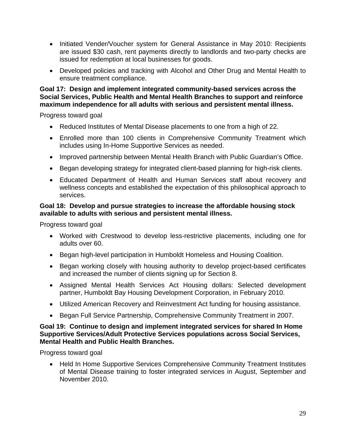- Initiated Vender/Voucher system for General Assistance in May 2010: Recipients are issued \$30 cash, rent payments directly to landlords and two-party checks are issued for redemption at local businesses for goods.
- Developed policies and tracking with Alcohol and Other Drug and Mental Health to ensure treatment compliance.

**Goal 17: Design and implement integrated community-based services across the Social Services, Public Health and Mental Health Branches to support and reinforce maximum independence for all adults with serious and persistent mental illness.** 

Progress toward goal

- Reduced Institutes of Mental Disease placements to one from a high of 22.
- Enrolled more than 100 clients in Comprehensive Community Treatment which includes using In-Home Supportive Services as needed.
- Improved partnership between Mental Health Branch with Public Guardian's Office.
- Began developing strategy for integrated client-based planning for high-risk clients.
- Educated Department of Health and Human Services staff about recovery and wellness concepts and established the expectation of this philosophical approach to services.

# **Goal 18: Develop and pursue strategies to increase the affordable housing stock available to adults with serious and persistent mental illness.**

Progress toward goal

- Worked with Crestwood to develop less-restrictive placements, including one for adults over 60.
- Began high-level participation in Humboldt Homeless and Housing Coalition.
- Began working closely with housing authority to develop project-based certificates and increased the number of clients signing up for Section 8.
- Assigned Mental Health Services Act Housing dollars: Selected development partner, Humboldt Bay Housing Development Corporation, in February 2010.
- Utilized American Recovery and Reinvestment Act funding for housing assistance.
- Began Full Service Partnership, Comprehensive Community Treatment in 2007.

# **Goal 19: Continue to design and implement integrated services for shared In Home Supportive Services/Adult Protective Services populations across Social Services, Mental Health and Public Health Branches.**

Progress toward goal

• Held In Home Supportive Services Comprehensive Community Treatment Institutes of Mental Disease training to foster integrated services in August, September and November 2010.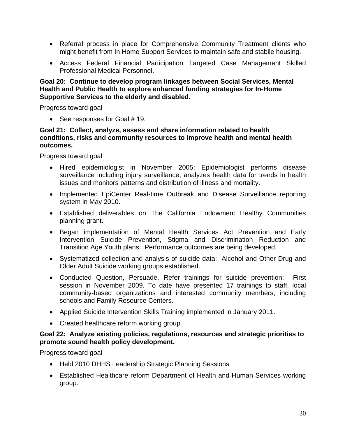- Referral process in place for Comprehensive Community Treatment clients who might benefit from In Home Support Services to maintain safe and stabile housing.
- Access Federal Financial Participation Targeted Case Management Skilled Professional Medical Personnel.

# **Goal 20: Continue to develop program linkages between Social Services, Mental Health and Public Health to explore enhanced funding strategies for In-Home Supportive Services to the elderly and disabled.**

Progress toward goal

• See responses for Goal #19.

#### **Goal 21: Collect, analyze, assess and share information related to health conditions, risks and community resources to improve health and mental health outcomes.**

Progress toward goal

- Hired epidemiologist in November 2005: Epidemiologist performs disease surveillance including injury surveillance, analyzes health data for trends in health issues and monitors patterns and distribution of illness and mortality.
- Implemented EpiCenter Real-time Outbreak and Disease Surveillance reporting system in May 2010.
- Established deliverables on The California Endowment Healthy Communities planning grant.
- Began implementation of Mental Health Services Act Prevention and Early Intervention Suicide Prevention, Stigma and Discrimination Reduction and Transition Age Youth plans: Performance outcomes are being developed.
- Systematized collection and analysis of suicide data: Alcohol and Other Drug and Older Adult Suicide working groups established.
- Conducted Question, Persuade, Refer trainings for suicide prevention: First session in November 2009. To date have presented 17 trainings to staff, local community-based organizations and interested community members, including schools and Family Resource Centers.
- Applied Suicide Intervention Skills Training implemented in January 2011.
- Created healthcare reform working group.

# **Goal 22: Analyze existing policies, regulations, resources and strategic priorities to promote sound health policy development.**

- Held 2010 DHHS Leadership Strategic Planning Sessions
- Established Healthcare reform Department of Health and Human Services working group.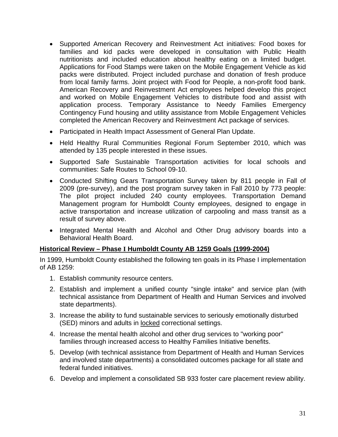- Supported American Recovery and Reinvestment Act initiatives: Food boxes for families and kid packs were developed in consultation with Public Health nutritionists and included education about healthy eating on a limited budget. Applications for Food Stamps were taken on the Mobile Engagement Vehicle as kid packs were distributed. Project included purchase and donation of fresh produce from local family farms. Joint project with Food for People, a non-profit food bank. American Recovery and Reinvestment Act employees helped develop this project and worked on Mobile Engagement Vehicles to distribute food and assist with application process. Temporary Assistance to Needy Families Emergency Contingency Fund housing and utility assistance from Mobile Engagement Vehicles completed the American Recovery and Reinvestment Act package of services.
- Participated in Health Impact Assessment of General Plan Update.
- Held Healthy Rural Communities Regional Forum September 2010, which was attended by 135 people interested in these issues.
- Supported Safe Sustainable Transportation activities for local schools and communities: Safe Routes to School 09-10.
- Conducted Shifting Gears Transportation Survey taken by 811 people in Fall of 2009 (pre-survey), and the post program survey taken in Fall 2010 by 773 people: The pilot project included 240 county employees. Transportation Demand Management program for Humboldt County employees, designed to engage in active transportation and increase utilization of carpooling and mass transit as a result of survey above.
- Integrated Mental Health and Alcohol and Other Drug advisory boards into a Behavioral Health Board.

# **Historical Review – Phase I Humboldt County AB 1259 Goals (1999-2004)**

In 1999, Humboldt County established the following ten goals in its Phase I implementation of AB 1259:

- 1. Establish community resource centers.
- 2. Establish and implement a unified county "single intake" and service plan (with technical assistance from Department of Health and Human Services and involved state departments).
- 3. Increase the ability to fund sustainable services to seriously emotionally disturbed (SED) minors and adults in locked correctional settings.
- 4. Increase the mental health alcohol and other drug services to "working poor" families through increased access to Healthy Families Initiative benefits.
- 5. Develop (with technical assistance from Department of Health and Human Services and involved state departments) a consolidated outcomes package for all state and federal funded initiatives.
- 6. Develop and implement a consolidated SB 933 foster care placement review ability.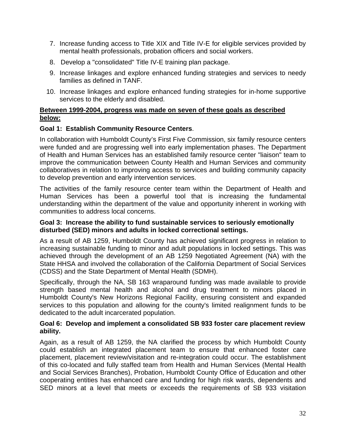- 7. Increase funding access to Title XIX and Title IV-E for eligible services provided by mental health professionals, probation officers and social workers.
- 8. Develop a "consolidated" Title IV-E training plan package.
- 9. Increase linkages and explore enhanced funding strategies and services to needy families as defined in TANF.
- 10. Increase linkages and explore enhanced funding strategies for in-home supportive services to the elderly and disabled.

#### **Between 1999-2004, progress was made on seven of these goals as described below:**

# **Goal 1: Establish Community Resource Centers**.

In collaboration with Humboldt County's First Five Commission, six family resource centers were funded and are progressing well into early implementation phases. The Department of Health and Human Services has an established family resource center "liaison" team to improve the communication between County Health and Human Services and community collaboratives in relation to improving access to services and building community capacity to develop prevention and early intervention services.

The activities of the family resource center team within the Department of Health and Human Services has been a powerful tool that is increasing the fundamental understanding within the department of the value and opportunity inherent in working with communities to address local concerns.

# **Goal 3: Increase the ability to fund sustainable services to seriously emotionally disturbed (SED) minors and adults in locked correctional settings.**

As a result of AB 1259, Humboldt County has achieved significant progress in relation to increasing sustainable funding to minor and adult populations in locked settings. This was achieved through the development of an AB 1259 Negotiated Agreement (NA) with the State HHSA and involved the collaboration of the California Department of Social Services (CDSS) and the State Department of Mental Health (SDMH).

Specifically, through the NA, SB 163 wraparound funding was made available to provide strength based mental health and alcohol and drug treatment to minors placed in Humboldt County's New Horizons Regional Facility, ensuring consistent and expanded services to this population and allowing for the county's limited realignment funds to be dedicated to the adult incarcerated population.

#### **Goal 6: Develop and implement a consolidated SB 933 foster care placement review ability.**

Again, as a result of AB 1259, the NA clarified the process by which Humboldt County could establish an integrated placement team to ensure that enhanced foster care placement, placement review/visitation and re-integration could occur. The establishment of this co-located and fully staffed team from Health and Human Services (Mental Health and Social Services Branches), Probation, Humboldt County Office of Education and other cooperating entities has enhanced care and funding for high risk wards, dependents and SED minors at a level that meets or exceeds the requirements of SB 933 visitation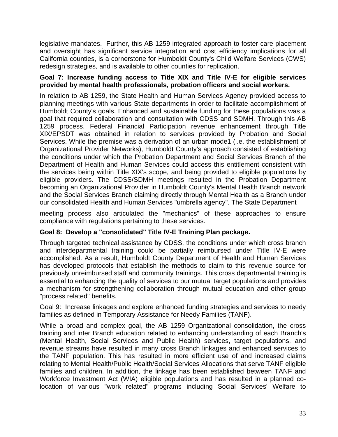legislative mandates. Further, this AB 1259 integrated approach to foster care placement and oversight has significant service integration and cost efficiency implications for all California counties, is a cornerstone for Humboldt County's Child Welfare Services (CWS) redesign strategies, and is available to other counties for replication.

# **Goal 7: Increase funding access to Title XIX and Title IV-E for eligible services provided by mental health professionals, probation officers and social workers.**

In relation to AB 1259, the State Health and Human Services Agency provided access to planning meetings with various State departments in order to facilitate accomplishment of Humboldt County's goals. Enhanced and sustainable funding for these populations was a goal that required collaboration and consultation with CDSS and SDMH. Through this AB 1259 process, Federal Financial Participation revenue enhancement through Title XIX/EPSDT was obtained in relation to services provided by Probation and Social Services. While the premise was a derivation of an urban mode1 (i.e. the establishment of Organizational Provider Networks), Humboldt County's approach consisted of establishing the conditions under which the Probation Department and Social Services Branch of the Department of Health and Human Services could access this entitlement consistent with the services being within Title XIX's scope, and being provided to eligible populations by eligible providers. The CDSS/SDMH meetings resulted in the Probation Department becoming an Organizational Provider in Humboldt County's Mental Health Branch network and the Social Services Branch claiming directly through Mental Health as a Branch under our consolidated Health and Human Services "umbrella agency". The State Department

meeting process also articulated the "mechanics" of these approaches to ensure compliance with regulations pertaining to these services.

# **Goal 8: Develop a "consolidated" Title IV-E Training Plan package.**

Through targeted technical assistance by CDSS, the conditions under which cross branch and interdepartmental training could be partially reimbursed under Title IV-E were accomplished. As a result, Humboldt County Department of Health and Human Services has developed protocols that establish the methods to claim to this revenue source for previously unreimbursed staff and community trainings. This cross departmental training is essential to enhancing the quality of services to our mutual target populations and provides a mechanism for strengthening collaboration through mutual education and other group "process related" benefits.

Goal 9: Increase linkages and explore enhanced funding strategies and services to needy families as defined in Temporary Assistance for Needy Families (TANF).

While a broad and complex goal, the AB 1259 Organizational consolidation, the cross training and inter Branch education related to enhancing understanding of each Branch's (Mental Health, Social Services and Public Health) services, target populations, and revenue streams have resulted in many cross Branch linkages and enhanced services to the TANF population. This has resulted in more efficient use of and increased claims relating to Mental Health/Public Health/Social Services Allocations that serve TANF eligible families and children. In addition, the linkage has been established between TANF and Workforce Investment Act (WIA) eligible populations and has resulted in a planned colocation of various "work related" programs including Social Services' Welfare to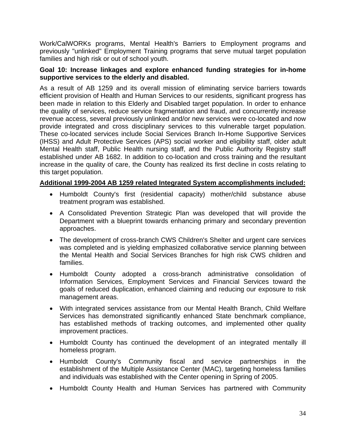Work/CalWORKs programs, Mental Health's Barriers to Employment programs and previously "unlinked" Employment Training programs that serve mutual target population families and high risk or out of school youth.

#### **Goal 10: Increase linkages and explore enhanced funding strategies for in-home supportive services to the elderly and disabled.**

As a result of AB 1259 and its overall mission of eliminating service barriers towards efficient provision of Health and Human Services to our residents, significant progress has been made in relation to this Elderly and Disabled target population. In order to enhance the quality of services, reduce service fragmentation and fraud, and concurrently increase revenue access, several previously unlinked and/or new services were co-located and now provide integrated and cross disciplinary services to this vulnerable target population. These co-located services include Social Services Branch In-Home Supportive Services (IHSS) and Adult Protective Services (APS) social worker and eligibility staff, older adult Mental Health staff, Public Health nursing staff, and the Public Authority Registry staff established under AB 1682. In addition to co-location and cross training and the resultant increase in the quality of care, the County has realized its first decline in costs relating to this target population.

# **Additional 1999-2004 AB 1259 related Integrated System accomplishments included:**

- Humboldt County's first (residential capacity) mother/child substance abuse treatment program was established.
- A Consolidated Prevention Strategic Plan was developed that will provide the Department with a blueprint towards enhancing primary and secondary prevention approaches.
- The development of cross-branch CWS Children's Shelter and urgent care services was completed and is yielding emphasized collaborative service planning between the Mental Health and Social Services Branches for high risk CWS children and families.
- Humboldt County adopted a cross-branch administrative consolidation of Information Services, Employment Services and Financial Services toward the goals of reduced duplication, enhanced claiming and reducing our exposure to risk management areas.
- With integrated services assistance from our Mental Health Branch, Child Welfare Services has demonstrated significantly enhanced State benchmark compliance, has established methods of tracking outcomes, and implemented other quality improvement practices.
- Humboldt County has continued the development of an integrated mentally ill homeless program.
- Humboldt County's Community fiscal and service partnerships in the establishment of the Multiple Assistance Center (MAC), targeting homeless families and individuals was established with the Center opening in Spring of 2005.
- Humboldt County Health and Human Services has partnered with Community